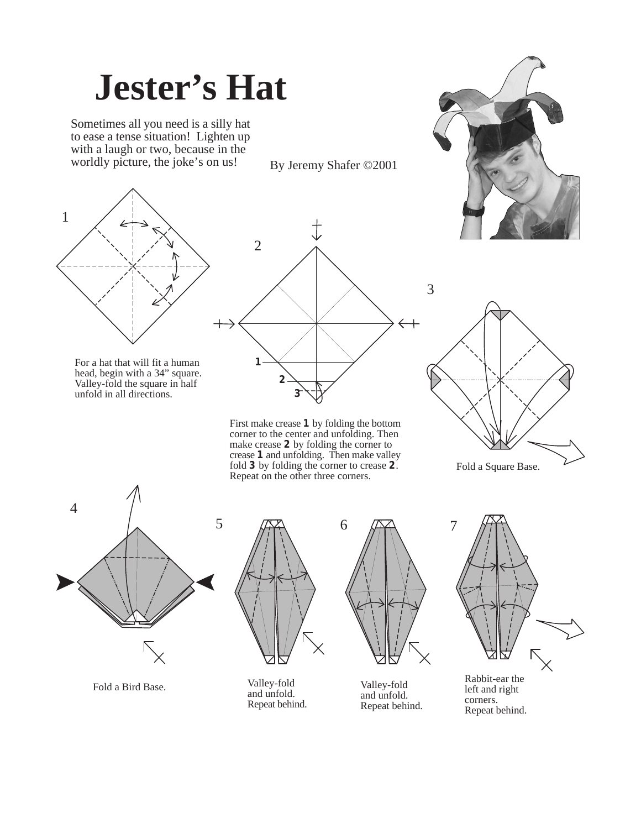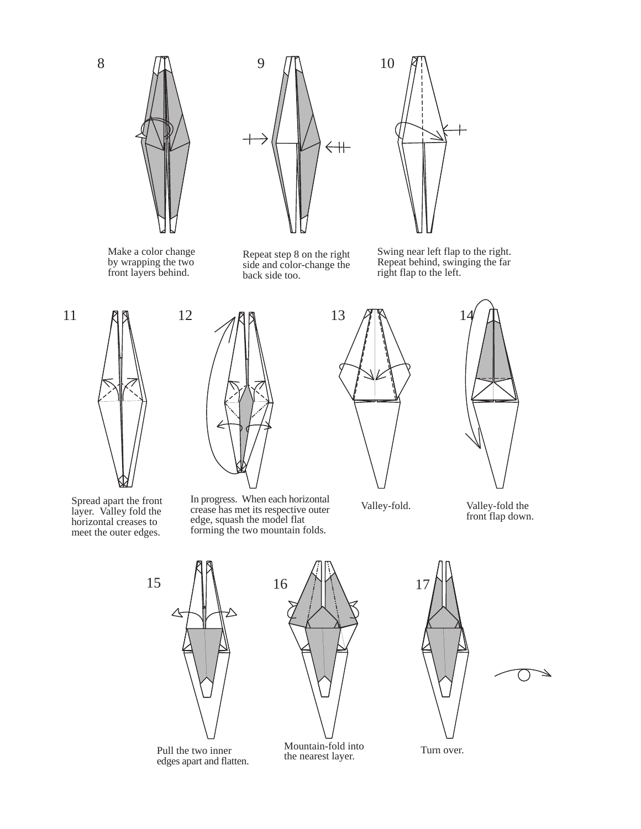



Mountain-fold into Turn over.<br>the nearest layer.

Pull the two inner edges apart and flatten.

Mountain-fold into